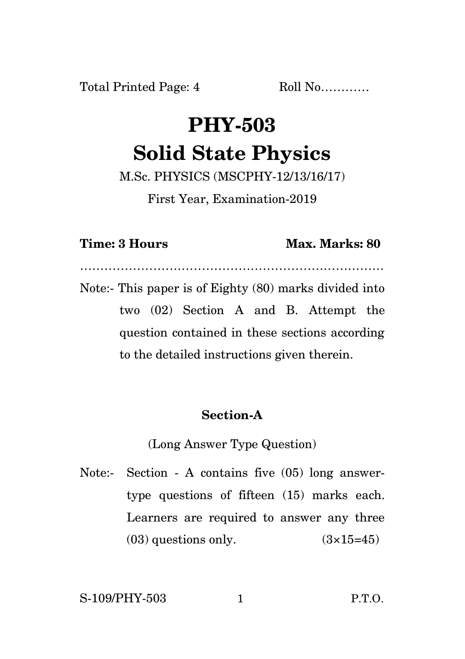# **PHY-503 Solid State Physics**

M.Sc. PHYSICS (MSCPHY-12/13/16/17)

First Year, Examination-2019

### **Time: 3 Hours Max. Marks: 80**

…………………………………………………………………

Note:- This paper is of Eighty (80) marks divided into two (02) Section A and B. Attempt the question contained in these sections according to the detailed instructions given therein.

## **Section-A**

(Long Answer Type Question)

Note:- Section - A contains five (05) long answertype questions of fifteen (15) marks each. Learners are required to answer any three  $(03)$  questions only.  $(3\times15=45)$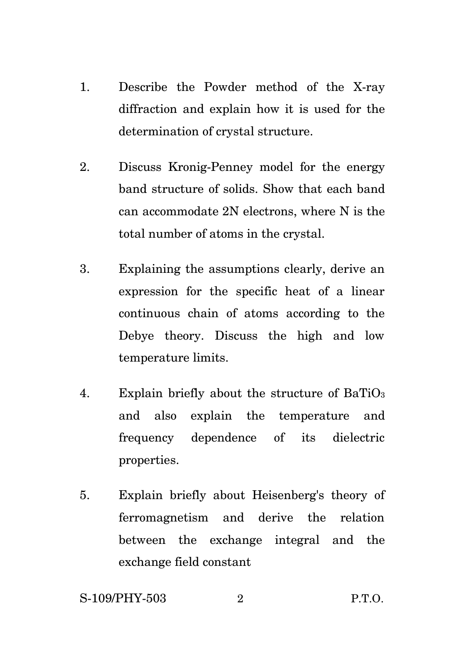- 1. Describe the Powder method of the X-ray diffraction and explain how it is used for the determination of crystal structure.
- 2. Discuss Kronig-Penney model for the energy band structure of solids. Show that each band can accommodate 2N electrons, where N is the total number of atoms in the crystal.
- 3. Explaining the assumptions clearly, derive an expression for the specific heat of a linear continuous chain of atoms according to the Debye theory. Discuss the high and low temperature limits.
- 4. Explain briefly about the structure of BaTiO<sup>3</sup> and also explain the temperature and frequency dependence of its dielectric properties.
- 5. Explain briefly about Heisenberg's theory of ferromagnetism and derive the relation between the exchange integral and the exchange field constant

S-109/PHY-503 2 P.T.O.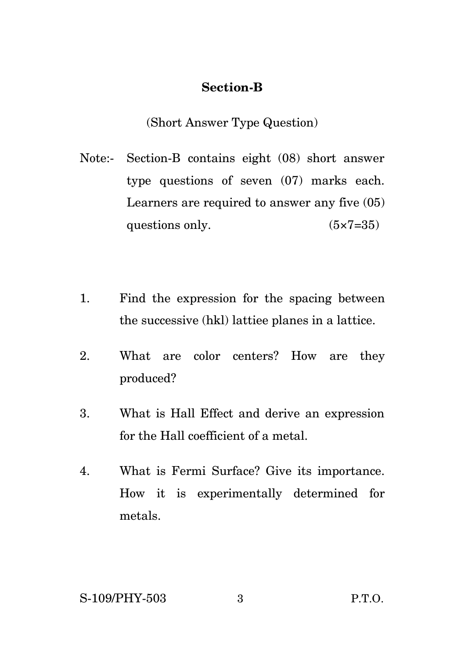### **Section-B**

(Short Answer Type Question)

- Note:- Section-B contains eight (08) short answer type questions of seven (07) marks each. Learners are required to answer any five (05) questions only.  $(5 \times 7 = 35)$
- 1. Find the expression for the spacing between the successive (hkl) lattiee planes in a lattice.
- 2. What are color centers? How are they produced?
- 3. What is Hall Effect and derive an expression for the Hall coefficient of a metal.
- 4. What is Fermi Surface? Give its importance. How it is experimentally determined for metals.

S-109/PHY-503 3 P.T.O.